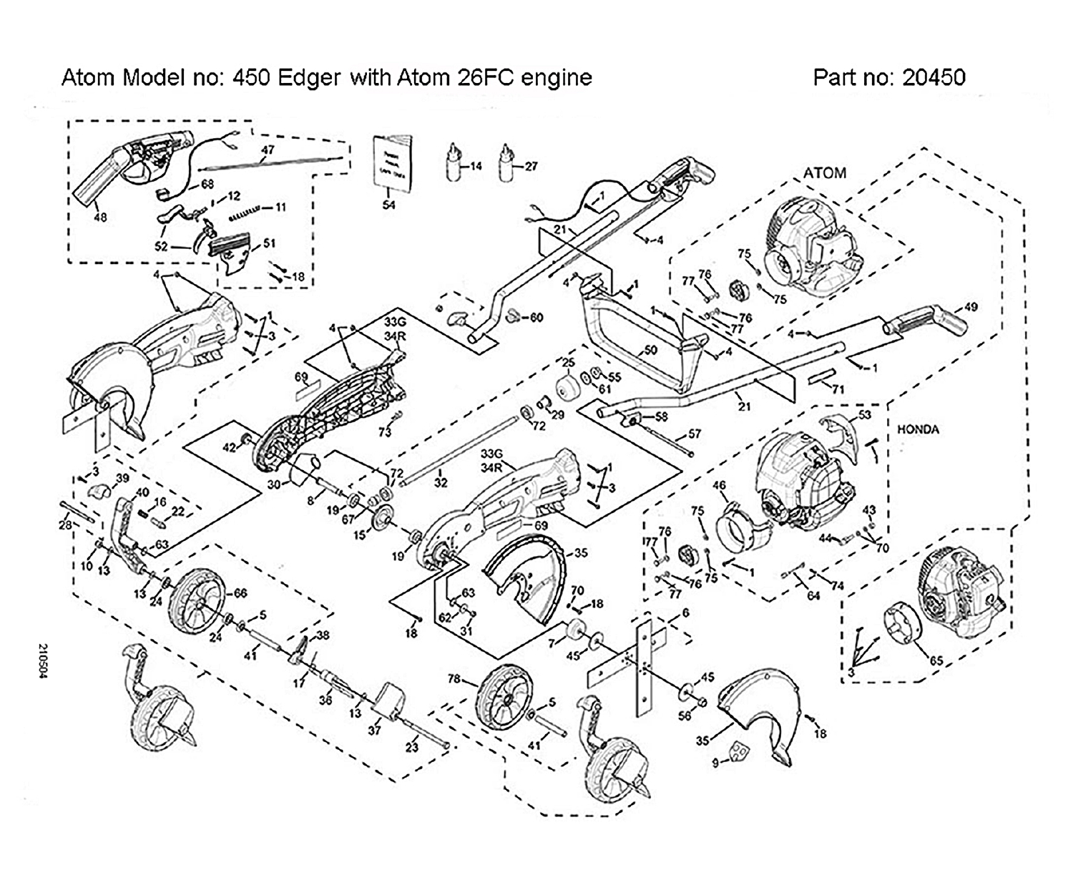Atom Model no: 450 Edger with Atom 26FC engine

Part no: 20450



210504